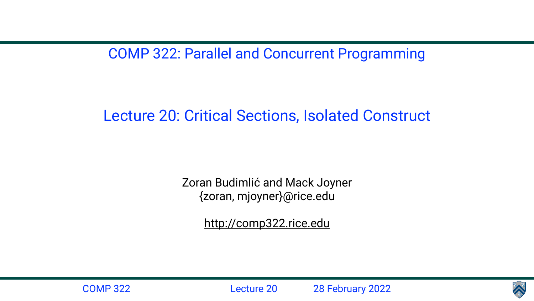COMP 322: Parallel and Concurrent Programming

Lecture 20: Critical Sections, Isolated Construct

Zoran Budimlić and Mack Joyner {zoran, mjoyner}@rice.edu

<http://comp322.rice.edu>



COMP 322 Lecture 20 28 February 2022

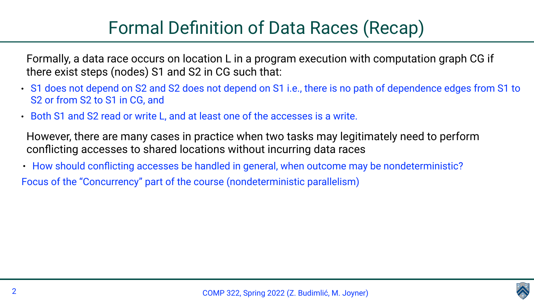# Formal Definition of Data Races (Recap)

Formally, a data race occurs on location L in a program execution with computation graph CG if

there exist steps (nodes) S1 and S2 in CG such that:

- S1 does not depend on S2 and S2 does not depend on S1 i.e., there is no path of dependence edges from S1 to S<sub>2</sub> or from S<sub>2</sub> to S<sub>1</sub> in C<sub>G</sub>, and
- Both S1 and S2 read or write L, and at least one of the accesses is a write.

• How should conflicting accesses be handled in general, when outcome may be nondeterministic? Focus of the "Concurrency" part of the course (nondeterministic parallelism)

However, there are many cases in practice when two tasks may legitimately need to perform





conflicting accesses to shared locations without incurring data races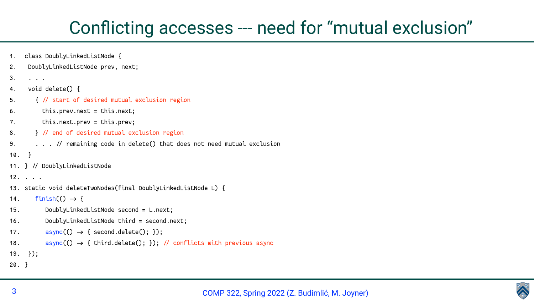

## Conflicting accesses --- need for "mutual exclusion"

```
1. class DoublyLinkedListNode {
2. DoublyLinkedListNode prev, next;
3. . . .
4. void delete() {
5. \{ // start of desired mutual exclusion region
6. this.prev.next = this.next;
7. this.next.prev = this.prev;
8. \} // end of desired mutual exclusion region
9. . . . / remaining code in delete() that does not need mutual exclusion
10. }
11. } // DoublyLinkedListNode
12. . . .
13. static void deleteTwoNodes(final DoublyLinkedListNode L) {
14. finish(() \rightarrow (15. DoublyLinkedListNode second = L.next;
16. DoublyLinkedListNode third = second.next;
17. \text{async}() \rightarrow \{ \text{second delete}(); \}18. \qquad \qquad \text{async}(() \rightarrow \{ \text{third.delete}(); \}); // conflicts with previous async
19. });
20. }
```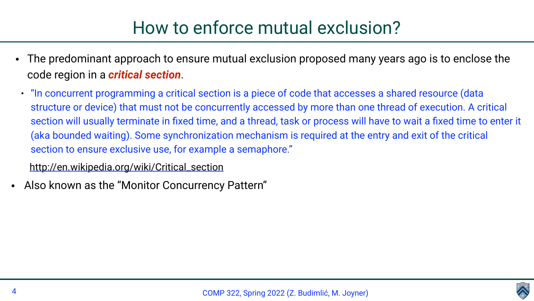• The predominant approach to ensure mutual exclusion proposed many years ago is to enclose the

• "In concurrent programming a critical section is a piece of code that accesses a shared resource (data structure or device) that must not be concurrently accessed by more than one thread of execution. A critical section will usually terminate in fixed time, and a thread, task or process will have to wait a fixed time to enter it (aka bounded waiting). Some synchronization mechanism is required at the entry and exit of the critical





- code region in a *critical section*.
- section to ensure exclusive use, for example a semaphore." [http://en.wikipedia.org/wiki/Critical\\_section](http://en.wikipedia.org/wiki/Critical_section)
- Also known as the "Monitor Concurrency Pattern"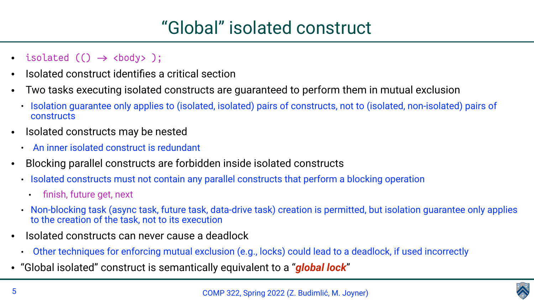



- isolated  $() \rightarrow \text{body> }$ ;
- Isolated construct identifies a critical section
- Two tasks executing isolated constructs are guaranteed to perform them in mutual exclusion • Isolation guarantee only applies to (isolated, isolated) pairs of constructs, not to (isolated, non-isolated) pairs of
	- constructs
- Isolated constructs may be nested
	- An inner isolated construct is redundant
- Blocking parallel constructs are forbidden inside isolated constructs • Isolated constructs must not contain any parallel constructs that perform a blocking operation
	- - finish, future get, next
	- Non-blocking task (async task, future task, data-drive task) creation is permitted, but isolation guarantee only applies to the creation of the task, not to its execution
- Isolated constructs can never cause a deadlock
	- Other techniques for enforcing mutual exclusion (e.g., locks) could lead to a deadlock, if used incorrectly
- "Global isolated" construct is semantically equivalent to a "*global lock*"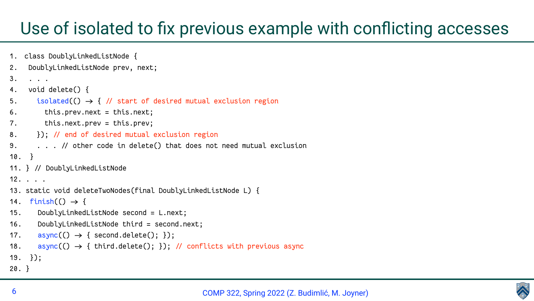



### Use of isolated to fix previous example with conflicting accesses

```
1. class DoublyLinkedListNode {
2. DoublyLinkedListNode prev, next;
3. . . .
4. void delete() {
5. isolated(() \rightarrow { // start of desired mutual exclusion region
6. this.prev.next = this.next;
7. this.next.prev = this.prev;
8. \}; // end of desired mutual exclusion region
9. . . . / other code in delete() that does not need mutual exclusion
10. }
11. } // DoublyLinkedListNode
12. . . .
13. static void deleteTwoNodes(final DoublyLinkedListNode L) {
14. finish(() \rightarrow (15. DoublyLinkedListNode second = L.next;
16. DoublyLinkedListNode third = second.next;
17. async() \rightarrow {second delete(); }18. async(O \rightarrow \{ third.delete(); \rbrace); // conflicts with previous async
19. });
20. }
```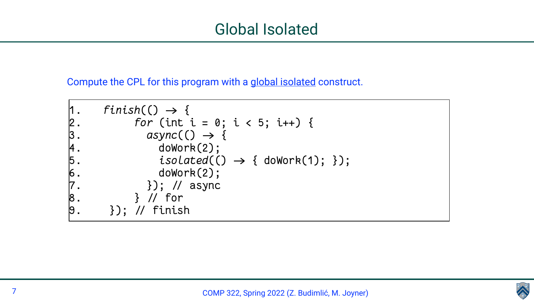



- 
- $isolated() \rightarrow { doWork(1); )};$

### Compute the CPL for this program with a global isolated construct.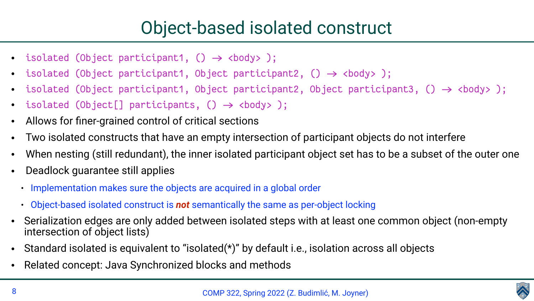- isolated (Object participant1,  $() \rightarrow$  <br/>body>);
- isolated (Object participant1, Object participant2,  $() \rightarrow$  <br/>body>);
- 
- isolated (Object[] participants, ()  $\rightarrow$  <br/>body> );
- Allows for finer-grained control of critical sections
- Two isolated constructs that have an empty intersection of participant objects do not interfere
- 
- Deadlock guarantee still applies
	- Implementation makes sure the objects are acquired in a global order
	- Object-based isolated construct is *not* semantically the same as per-object locking
- intersection of object lists)
- Standard isolated is equivalent to "isolated(\*)" by default i.e., isolation across all objects
- Related concept: Java Synchronized blocks and methods





```
• isolated (Object participant1, Object participant2, Object participant3, () \rightarrow <br/>body>);
```
When nesting (still redundant), the inner isolated participant object set has to be a subset of the outer one

• Serialization edges are only added between isolated steps with at least one common object (non-empty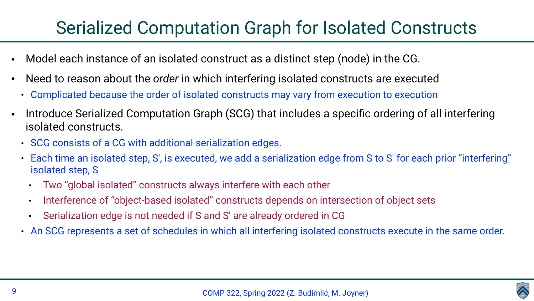# Serialized Computation Graph for Isolated Constructs

- Model each instance of an isolated construct as a distinct step (node) in the CG.
- Need to reason about the *order* in which interfering isolated constructs are executed
	- Complicated because the order of isolated constructs may vary from execution to execution
- Introduce Serialized Computation Graph (SCG) that includes a specific ordering of all interfering isolated constructs.
	- SCG consists of a CG with additional serialization edges.
	- Each time an isolated step, S′, is executed, we add a serialization edge from S to S′ for each prior "interfering" isolated step, S
		- Two "global isolated" constructs always interfere with each other
		- Interference of "object-based isolated" constructs depends on intersection of object sets
		- Serialization edge is not needed if S and S' are already ordered in CG
	- An SCG represents a set of schedules in which all interfering isolated constructs execute in the same order.



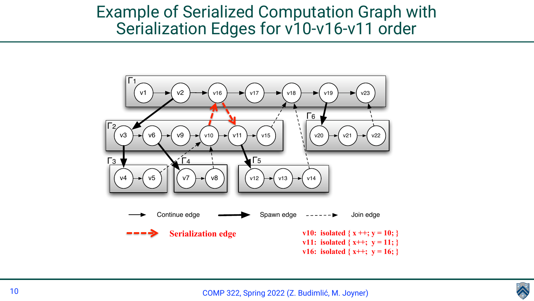



### Example of Serialized Computation Graph with Serialization Edges for v10-v16-v11 order

**v11:** isolated  $\{x^{++}; y = 11; \}$ **v16:** isolated  $\{x^{++}; y = 16; \}$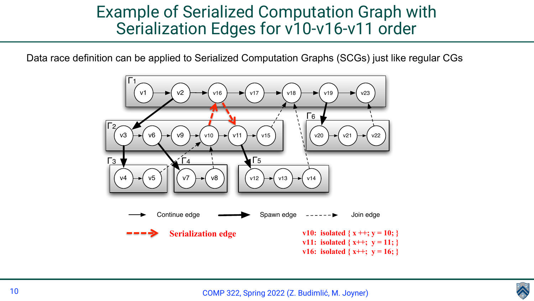



### Example of Serialized Computation Graph with Serialization Edges for v10-v16-v11 order

Data race definition can be applied to Serialized Computation Graphs (SCGs) just like regular CGs

**v11:** isolated  $\{x^{++}; y = 11; \}$ **v16:** isolated  $\{x^{++}; y = 16; \}$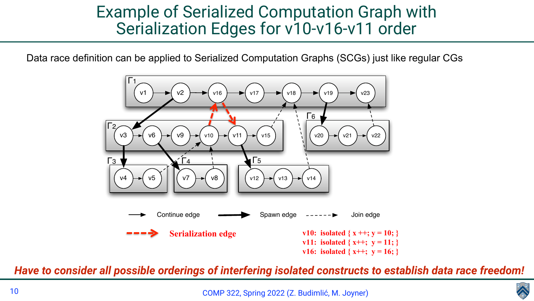

### Example of Serialized Computation Graph with Serialization Edges for v10-v16-v11 order

Data race definition can be applied to Serialized Computation Graphs (SCGs) just like regular CGs

**Serialization edge** v10: isolated  $\{x ++; y = 10; \}$ **v11:** isolated  $\{x^{++}; y = 11; \}$ **v16:** isolated  $\{x^{++}; y = 16; \}$ 

### Have to consider all possible orderings of interfering isolated constructs to establish data race freedom!



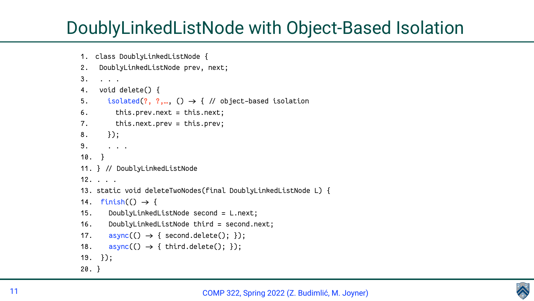

|                | 1. class DoublyLinkedListNode {                                  |
|----------------|------------------------------------------------------------------|
| 2.             | DoublyLinkedListNode prev, next;                                 |
| 3.             |                                                                  |
|                | 4. void delete() $\{$                                            |
| 5.             | isolated(?, ?,, $() \rightarrow \{$ // object-ba:                |
| 6.             | this.prev.next = this.next;                                      |
| 7.             | this.next.prev = this.prev;                                      |
| 8.             | $\{\}$ ;                                                         |
| 9 <sub>1</sub> | $\mathbf{r}=\mathbf{r}+\mathbf{r}$                               |
| 10.            | $\rightarrow$                                                    |
|                | 11. } // DoublyLinkedListNode                                    |
|                | $12. \t1. \t1.$                                                  |
|                | 13. static void deleteTwoNodes(final DoublyL                     |
|                | 14. $flink() \rightarrow \{$                                     |
| 15.            | DoublyLinkedListNode second = L.next;                            |
|                | 16. DoublyLinkedListNode third = second.n                        |
|                | 17. $\text{async}(() \rightarrow \{ \text{ second delete}(); \}$ |
| 18.            | $async() \rightarrow { third.delete(); })$                       |
|                | $19. \t3)$ ;                                                     |
| $20. \}$       |                                                                  |

## DoublyLinkedListNode with Object-Based Isolation

based isolation

LyLinkedListNode L) {

. next;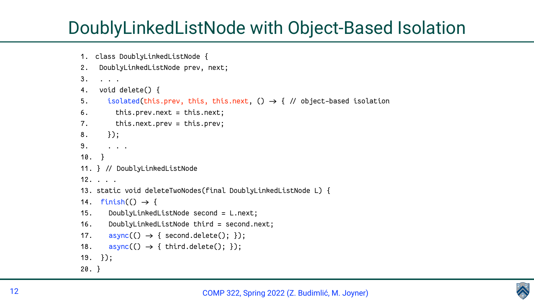

5. isolated(this.prev, this, this.next, () > { / object-based isolation

JuinkedListNode L) {

. next;

| 1.             | class DoublyLinkedListNode {                                      |
|----------------|-------------------------------------------------------------------|
| 2.             | DoublyLinkedListNode prev, next;                                  |
| 3.             |                                                                   |
| 4.             | $void delete()$ {                                                 |
| 5.             | isolated(this.prev, this, this.next,                              |
| 6.             | this.prev.next = this.next;                                       |
| 7.             | this.next.prev = this.prev;                                       |
| 8.             | $\}$ );                                                           |
| 9 <sub>1</sub> | $\mathbf{1}=\mathbf{1}=\mathbf{1}$                                |
| 10.            | $\rightarrow$                                                     |
|                | 11. } // DoublyLinkedListNode                                     |
|                | 12.                                                               |
|                | 13. static void deleteTwoNodes(final DoublyL                      |
|                | 14. $finish()) \rightarrow \{$                                    |
| 15.            | DoublyLinkedListNode second = L.next;                             |
|                | 16. DoublyLinkedListNode third = second.n                         |
|                | 17. $\text{async}(() \rightarrow \{ \text{ second.} delete(); \}$ |
| 18.            | $async(() \rightarrow { third.delete(); })$                       |
|                | $19. \t3)$ ;                                                      |
| $20. \}$       |                                                                   |

# DoublyLinkedListNode with Object-Based Isolation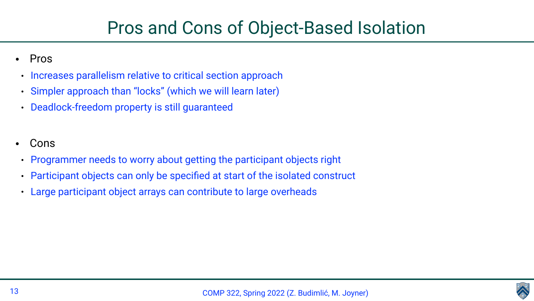

## Pros and Cons of Object-Based Isolation

- Pros
- Increases parallelism relative to critical section approach
- Simpler approach than "locks" (which we will learn later)
- Deadlock-freedom property is still guaranteed
- **Cons**
- Programmer needs to worry about getting the participant objects right
- Participant objects can only be specified at start of the isolated construct
- Large participant object arrays can contribute to large overheads